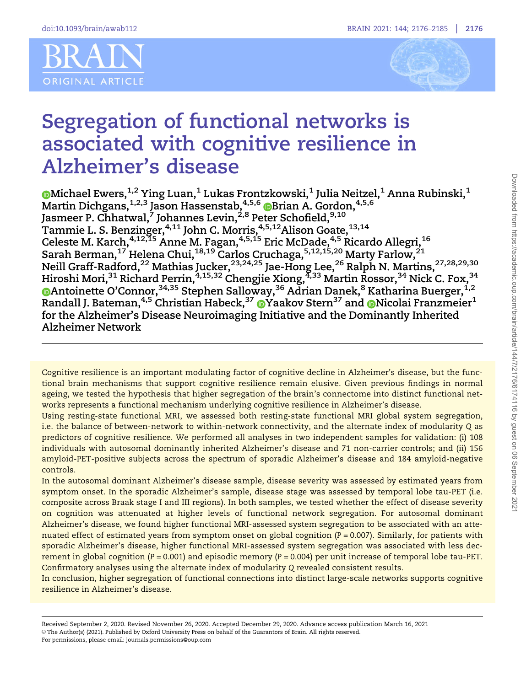



# Segregation of functional networks is associated with cognitive resilience in Alzheimer's disease

Michael Ewers, $^{\rm 1,2}$  Ying Luan, $^{\rm 1}$  Lukas Frontzkowski, $^{\rm 1}$  Julia Neitzel, $^{\rm 1}$  Anna Rubinski, $^{\rm 1}$ Martin Dichgans, $^{1,2,3}$  Jason Hassenstab, $^{4,5,6}$   $\textcircled{\textsf{B}}$ rian A. Gordon, $^{4,5,6}$ Jasmeer P. Chhatwal,<sup>7</sup> Johannes Levin,<sup>2,8</sup> Peter Schofield,<sup>9,10</sup> Tammie L. S. Benzinger,<sup>4,11</sup> John C. Morris,<sup>4,5,12</sup>Alison Goate,<sup>13,14</sup> Celeste M. Karch,<sup>4,12,15</sup> Anne M. Fagan,<sup>4,5,15</sup> Eric McDade,<sup>4,5</sup> Ricardo Allegri,<sup>16</sup> Sarah Berman, $^{17}$  Helena Chui, $^{18,19}$  Carlos Cruchaga, $^{5,12,15,20}$  Marty Farlow, $^{21}$ Neill Graff-Radford,<sup>22</sup> Mathias Jucker,<sup>23,24,25</sup> Jae-Hong Lee,<sup>26</sup> Ralph N. Martins,<sup>27,28,29,30</sup> Hiroshi Mori,<sup>31</sup> Richard Perrin,<sup>4,15,32</sup> Chengjie Xiong,<sup>4,33</sup> Martin Rossor,<sup>34</sup> Nick C. Fox,<sup>34</sup> Antoinette O'Connor,<sup>34,35</sup> Stephen Salloway,<sup>36</sup> Adrian Danek,<sup>8</sup> Katharina Buerger,<sup>1,2</sup> Randall J. Bateman,  $4.5$  Christian Habeck,  $37$  O[Y](https://orcid.org/0000-0001-7542-3241)aakov Stern $37$  and O[N](https://orcid.org/0000-0001-9736-2283)icolai Franzmeier<sup>1</sup> for the Alzheimer's Disease Neuroimaging Initiative and the Dominantly Inherited Alzheimer Network

Cognitive resilience is an important modulating factor of cognitive decline in Alzheimer's disease, but the functional brain mechanisms that support cognitive resilience remain elusive. Given previous findings in normal ageing, we tested the hypothesis that higher segregation of the brain's connectome into distinct functional networks represents a functional mechanism underlying cognitive resilience in Alzheimer's disease.

Using resting-state functional MRI, we assessed both resting-state functional MRI global system segregation, i.e. the balance of between-network to within-network connectivity, and the alternate index of modularity Q as predictors of cognitive resilience. We performed all analyses in two independent samples for validation: (i) 108 individuals with autosomal dominantly inherited Alzheimer's disease and 71 non-carrier controls; and (ii) 156 amyloid-PET-positive subjects across the spectrum of sporadic Alzheimer's disease and 184 amyloid-negative controls.

In the autosomal dominant Alzheimer's disease sample, disease severity was assessed by estimated years from symptom onset. In the sporadic Alzheimer's sample, disease stage was assessed by temporal lobe tau-PET (i.e. composite across Braak stage I and III regions). In both samples, we tested whether the effect of disease severity on cognition was attenuated at higher levels of functional network segregation. For autosomal dominant Alzheimer's disease, we found higher functional MRI-assessed system segregation to be associated with an attenuated effect of estimated years from symptom onset on global cognition  $(P = 0.007)$ . Similarly, for patients with sporadic Alzheimer's disease, higher functional MRI-assessed system segregation was associated with less decrement in global cognition ( $P = 0.001$ ) and episodic memory ( $P = 0.004$ ) per unit increase of temporal lobe tau-PET. Confirmatory analyses using the alternate index of modularity Q revealed consistent results.

In conclusion, higher segregation of functional connections into distinct large-scale networks supports cognitive resilience in Alzheimer's disease.

Received September 2, 2020. Revised November 26, 2020. Accepted December 29, 2020. Advance access publication March 16, 2021 V<sup>C</sup> The Author(s) (2021). Published by Oxford University Press on behalf of the Guarantors of Brain. All rights reserved. For permissions, please email: journals.permissions@oup.com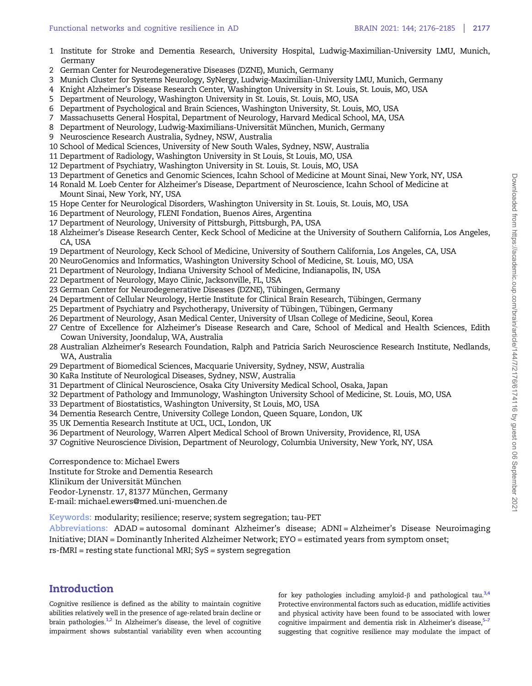- <span id="page-1-0"></span>1 Institute for Stroke and Dementia Research, University Hospital, Ludwig-Maximilian-University LMU, Munich, Germany
- 2 German Center for Neurodegenerative Diseases (DZNE), Munich, Germany
- 3 Munich Cluster for Systems Neurology, SyNergy, Ludwig-Maximilian-University LMU, Munich, Germany
- 4 Knight Alzheimer's Disease Research Center, Washington University in St. Louis, St. Louis, MO, USA
- 5 Department of Neurology, Washington University in St. Louis, St. Louis, MO, USA
- 6 Department of Psychological and Brain Sciences, Washington University, St. Louis, MO, USA
- 7 Massachusetts General Hospital, Department of Neurology, Harvard Medical School, MA, USA
- 8 Department of Neurology, Ludwig-Maximilians-Universität München, Munich, Germany
- 9 Neuroscience Research Australia, Sydney, NSW, Australia
- 10 School of Medical Sciences, University of New South Wales, Sydney, NSW, Australia
- 11 Department of Radiology, Washington University in St Louis, St Louis, MO, USA
- 12 Department of Psychiatry, Washington University in St. Louis, St. Louis, MO, USA
- 13 Department of Genetics and Genomic Sciences, Icahn School of Medicine at Mount Sinai, New York, NY, USA
- 14 Ronald M. Loeb Center for Alzheimer's Disease, Department of Neuroscience, Icahn School of Medicine at Mount Sinai, New York, NY, USA
- 15 Hope Center for Neurological Disorders, Washington University in St. Louis, St. Louis, MO, USA
- 16 Department of Neurology, FLENI Fondation, Buenos Aires, Argentina
- 17 Department of Neurology, University of Pittsburgh, Pittsburgh, PA, USA
- 18 Alzheimer's Disease Research Center, Keck School of Medicine at the University of Southern California, Los Angeles, CA, USA
- 19 Department of Neurology, Keck School of Medicine, University of Southern California, Los Angeles, CA, USA
- 20 NeuroGenomics and Informatics, Washington University School of Medicine, St. Louis, MO, USA
- 21 Department of Neurology, Indiana University School of Medicine, Indianapolis, IN, USA
- 22 Department of Neurology, Mayo Clinic, Jacksonville, FL, USA
- 23 German Center for Neurodegenerative Diseases (DZNE), Tübingen, Germany
- 24 Department of Cellular Neurology, Hertie Institute for Clinical Brain Research, Tübingen, Germany
- 25 Department of Psychiatry and Psychotherapy, University of Tübingen, Tübingen, Germany
- 26 Department of Neurology, Asan Medical Center, University of Ulsan College of Medicine, Seoul, Korea
- 27 Centre of Excellence for Alzheimer's Disease Research and Care, School of Medical and Health Sciences, Edith Cowan University, Joondalup, WA, Australia
- 28 Australian Alzheimer's Research Foundation, Ralph and Patricia Sarich Neuroscience Research Institute, Nedlands, WA, Australia
- 29 Department of Biomedical Sciences, Macquarie University, Sydney, NSW, Australia
- 30 KaRa Institute of Neurological Diseases, Sydney, NSW, Australia
- 31 Department of Clinical Neuroscience, Osaka City University Medical School, Osaka, Japan
- 32 Department of Pathology and Immunology, Washington University School of Medicine, St. Louis, MO, USA
- 33 Department of Biostatistics, Washington University, St Louis, MO, USA
- 34 Dementia Research Centre, University College London, Queen Square, London, UK
- 35 UK Dementia Research Institute at UCL, UCL, London, UK
- 36 Department of Neurology, Warren Alpert Medical School of Brown University, Providence, RI, USA
- 37 Cognitive Neuroscience Division, Department of Neurology, Columbia University, New York, NY, USA

Correspondence to: Michael Ewers

Institute for Stroke and Dementia Research

Klinikum der Universität München

Feodor-Lynenstr. 17, 81377 München, Germany

E-mail: michael.ewers@med.uni-muenchen.de

Keywords: modularity; resilience; reserve; system segregation; tau-PET

Abbreviations: ADAD = autosomal dominant Alzheimer's disease; ADNI = Alzheimer's Disease Neuroimaging Initiative; DIAN = Dominantly Inherited Alzheimer Network; EYO = estimated years from symptom onset; rs-fMRI = resting state functional MRI; SyS = system segregation

# Introduction

Cognitive resilience is defined as the ability to maintain cognitive abilities relatively well in the presence of age-related brain decline or brain pathologies. $1,2$  In Alzheimer's disease, the level of cognitive impairment shows substantial variability even when accounting for key pathologies including amyloid- $\beta$  and pathological tau.<sup>3,4</sup> Protective environmental factors such as education, midlife activities and physical activity have been found to be associated with lower cognitive impairment and dementia risk in Alzheimer's disease,<sup>5</sup> suggesting that cognitive resilience may modulate the impact of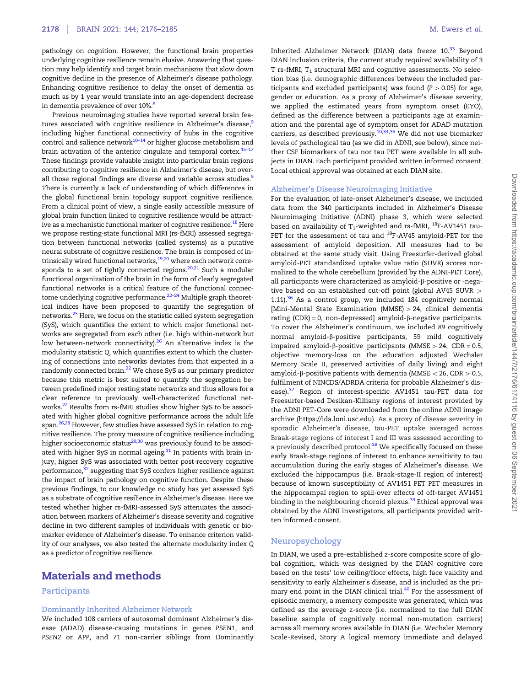<span id="page-2-0"></span>pathology on cognition. However, the functional brain properties underlying cognitive resilience remain elusive. Answering that question may help identify and target brain mechanisms that slow down cognitive decline in the presence of Alzheimer's disease pathology. Enhancing cognitive resilience to delay the onset of dementia as much as by 1 year would translate into an age-dependent decrease in dementia prevalence of over 10%.[8](#page-8-0)

Previous neuroimaging studies have reported several brain features associated with cognitive resilience in Alzheimer's disease,<sup>9</sup> including higher functional connectivity of hubs in the cognitive control and salience network<sup>[10–14](#page-8-0)</sup> or higher glucose metabolism and brain activation of the anterior cingulate and temporal cortex.<sup>15-17</sup> These findings provide valuable insight into particular brain regions contributing to cognitive resilience in Alzheimer's disease, but overall those regional findings are diverse and variable across studies.<sup>9</sup> There is currently a lack of understanding of which differences in the global functional brain topology support cognitive resilience. From a clinical point of view, a single easily accessible measure of global brain function linked to cognitive resilience would be attractive as a mechanistic functional marker of cognitive resilience.<sup>18</sup> Here we propose resting-state functional MRI (rs-fMRI) assessed segregation between functional networks (called systems) as a putative neural substrate of cognitive resilience. The brain is composed of in-trinsically wired functional networks,<sup>19,[20](#page-8-0)</sup> where each network corre-sponds to a set of tightly connected regions.<sup>[20,21](#page-8-0)</sup> Such a modular functional organization of the brain in the form of clearly segregated functional networks is a critical feature of the functional connectome underlying cognitive performance. $22-24$  Multiple graph theoretical indices have been proposed to quantify the segregation of networks[.25](#page-8-0) Here, we focus on the statistic called system segregation (SyS), which quantifies the extent to which major functional networks are segregated from each other (i.e. high within-network but low between-network connectivity). $^{26}$  An alternative index is the modularity statistic Q, which quantifies extent to which the clustering of connections into networks deviates from that expected in a randomly connected brain.<sup>[22](#page-8-0)</sup> We chose SyS as our primary predictor because this metric is best suited to quantify the segregation between predefined major resting state networks and thus allows for a clear reference to previously well-characterized functional networks.[27](#page-8-0) Results from rs-fMRI studies show higher SyS to be associated with higher global cognitive performance across the adult life span.<sup>26,[28](#page-8-0)</sup> However, few studies have assessed SyS in relation to cognitive resilience. The proxy measure of cognitive resilience including higher socioeconomic status $^{29,30}$  was previously found to be associated with higher SyS in normal ageing.<sup>31</sup> In patients with brain injury, higher SyS was associated with better post-recovery cognitive performance,<sup>32</sup> suggesting that SyS confers higher resilience against the impact of brain pathology on cognitive function. Despite these previous findings, to our knowledge no study has yet assessed SyS as a substrate of cognitive resilience in Alzheimer's disease. Here we tested whether higher rs-fMRI-assessed SyS attenuates the association between markers of Alzheimer's disease severity and cognitive decline in two different samples of individuals with genetic or biomarker evidence of Alzheimer's disease. To enhance criterion validity of our analyses, we also tested the alternate modularity index Q as a predictor of cognitive resilience.

## Materials and methods

#### Participants

#### Dominantly Inherited Alzheimer Network

We included 108 carriers of autosomal dominant Alzheimer's disease (ADAD) disease-causing mutations in genes PSEN1, and PSEN2 or APP, and 71 non-carrier siblings from Dominantly Inherited Alzheimer Network (DIAN) data freeze 10.<sup>[33](#page-8-0)</sup> Beyond DIAN inclusion criteria, the current study required availability of 3 T rs-fMRI,  $T_1$  structural MRI and cognitive assessments. No selection bias (i.e. demographic differences between the included participants and excluded participants) was found  $(P > 0.05)$  for age, gender or education. As a proxy of Alzheimer's disease severity, we applied the estimated years from symptom onset (EYO), defined as the difference between a participants age at examination and the parental age of symptom onset for ADAD mutation carriers, as described previously.<sup>[10,34,](#page-8-0)[35](#page-9-0)</sup> We did not use biomarker levels of pathological tau (as we did in ADNI, see below), since neither CSF biomarkers of tau nor tau PET were available in all subjects in DIAN. Each participant provided written informed consent. Local ethical approval was obtained at each DIAN site.

#### Alzheimer's Disease Neuroimaging Initiative

For the evaluation of late-onset Alzheimer's disease, we included data from the 340 participants included in Alzheimer's Disease Neuroimaging Initiative (ADNI) phase 3, which were selected based on availability of  $T_1$ -weighted and rs-fMRI,  $^{18}$ F-AV1451 tau-PET for the assessment of tau and <sup>18</sup>F-AV45 amyloid-PET for the assessment of amyloid deposition. All measures had to be obtained at the same study visit. Using Freesurfer-derived global amyloid-PET standardized uptake value ratio (SUVR) scores normalized to the whole cerebellum (provided by the ADNI-PET Core), all participants were characterized as amyloid-b-positive or -negative based on an established cut-off point (global AV45 SUVR  $>$ 1.11). $36$  As a control group, we included 184 cognitively normal [Mini-Mental State Examination (MMSE)  $> 24$ , clinical dementia rating  $(CDR) = 0$ , non-depressed] amyloid- $\beta$ -negative participants. To cover the Alzheimer's continuum, we included 89 cognitively normal amyloid-b-positive participants, 59 mild cognitively impaired amyloid- $\beta$ -positive participants (MMSE > 24, CDR = 0.5, objective memory-loss on the education adjusted Wechsler Memory Scale II, preserved activities of daily living) and eight amyloid- $\beta$ -positive patients with dementia (MMSE < 26, CDR > 0.5, fulfilment of NINCDS/ADRDA criteria for probable Alzheimer's dis-ease).<sup>[37](#page-9-0)</sup> Region of interest-specific AV1451 tau-PET data for Freesurfer-based Desikan-Killiany regions of interest provided by the ADNI PET-Core were downloaded from the online ADNI image archive [\(https://ida.loni.usc.edu](https://ida.loni.usc.edu)). As a proxy of disease severity in sporadic Alzheimer's disease, tau-PET uptake averaged across Braak-stage regions of interest I and III was assessed according to a previously described protocol.<sup>[38](#page-9-0)</sup> We specifically focused on these early Braak-stage regions of interest to enhance sensitivity to tau accumulation during the early stages of Alzheimer's disease. We excluded the hippocampus (i.e. Braak-stage-II region of interest) because of known susceptibility of AV1451 PET PET measures in the hippocampal region to spill-over effects of off-target AV1451 binding in the neighbouring choroid plexus.<sup>39</sup> Ethical approval was obtained by the ADNI investigators, all participants provided written informed consent.

#### Neuropsychology

In DIAN, we used a pre-established z-score composite score of global cognition, which was designed by the DIAN cognitive core based on the tests' low ceiling/floor effects, high face validity and sensitivity to early Alzheimer's disease, and is included as the pri-mary end point in the DIAN clinical trial.<sup>[40](#page-9-0)</sup> For the assessment of episodic memory, a memory composite was generated, which was defined as the average z-score (i.e. normalized to the full DIAN baseline sample of cognitively normal non-mutation carriers) across all memory scores available in DIAN (i.e. Wechsler Memory Scale-Revised, Story A logical memory immediate and delayed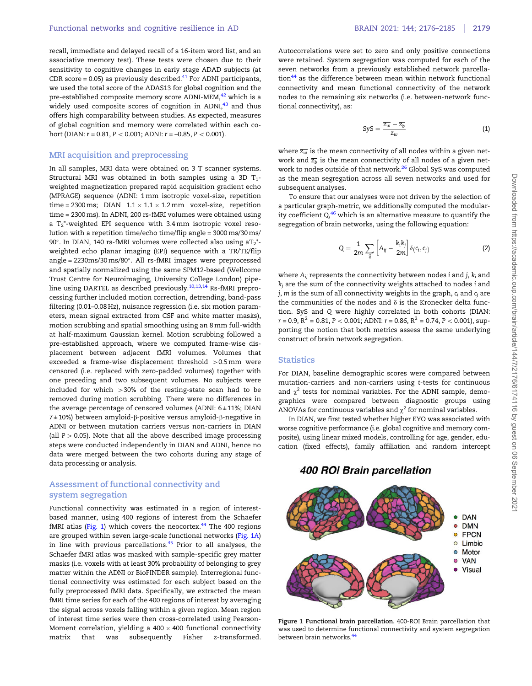<span id="page-3-0"></span>recall, immediate and delayed recall of a 16-item word list, and an associative memory test). These tests were chosen due to their sensitivity to cognitive changes in early stage ADAD subjects (at CDR score = 0.05) as previously described. $41$  For ADNI participants, we used the total score of the ADAS13 for global cognition and the pre-established composite memory score ADNI-MEM,<sup>[42](#page-9-0)</sup> which is a widely used composite scores of cognition in ADNI,<sup>[43](#page-9-0)</sup> and thus offers high comparability between studies. As expected, measures of global cognition and memory were correlated within each cohort (DIAN:  $r = 0.81$ ,  $P < 0.001$ ; ADNI:  $r = -0.85$ ,  $P < 0.001$ ).

#### MRI acquisition and preprocessing

In all samples, MRI data were obtained on 3 T scanner systems. Structural MRI was obtained in both samples using a 3D  $T_1$ weighted magnetization prepared rapid acquisition gradient echo (MPRAGE) sequence (ADNI: 1 mm isotropic voxel-size, repetition time = 2300 ms;  $\:$  DIAN  $\:$  1.1  $\times$  1.1  $\times$  1.2 mm  $\:$  voxel-size,  $\:$  repetition time = 2300 ms). In ADNI, 200 rs-fMRI volumes were obtained using a  $T_2^*$ -weighted EPI sequence with 3.4 mm isotropic voxel resolution with a repetition time/echo time/flip angle = 3000 ms/30 ms/ 90°. In DIAN, 140 rs-fMRI volumes were collected also using  $aT_2$ <sup>\*</sup>weighted echo planar imaging (EPI) sequence with a TR/TE/flip angle = 2230ms/30 ms/80°. All rs-fMRI images were preprocessed and spatially normalized using the same SPM12-based (Wellcome Trust Centre for Neuroimaging, University College London) pipe-line using DARTEL as described previously.<sup>[10,13](#page-8-0),[14](#page-8-0)</sup> Rs-fMRI preprocessing further included motion correction, detrending, band-pass filtering (0.01–0.08 Hz), nuisance regression (i.e. six motion parameters, mean signal extracted from CSF and white matter masks), motion scrubbing and spatial smoothing using an 8 mm full-width at half-maximum Gaussian kernel. Motion scrubbing followed a pre-established approach, where we computed frame-wise displacement between adjacent fMRI volumes. Volumes that exceeded a frame-wise displacement threshold  $>0.5$  mm were censored (i.e. replaced with zero-padded volumes) together with one preceding and two subsequent volumes. No subjects were included for which  $>30\%$  of the resting-state scan had to be removed during motion scrubbing. There were no differences in the average percentage of censored volumes (ADNI:  $6 \pm 11\%$ ; DIAN  $7 \pm 10$ %) between amyloid- $\beta$ -positive versus amyloid- $\beta$ -negative in ADNI or between mutation carriers versus non-carriers in DIAN (all  $P > 0.05$ ). Note that all the above described image processing steps were conducted independently in DIAN and ADNI, hence no data were merged between the two cohorts during any stage of data processing or analysis.

### Assessment of functional connectivity and system segregation

Functional connectivity was estimated in a region of interestbased manner, using 400 regions of interest from the Schaefer fMRI atlas (Fig. 1) which covers the neocortex. $44$  The 400 regions are grouped within seven large-scale functional networks (Fig. 1A) in line with previous parcellations. $45$  Prior to all analyses, the Schaefer fMRI atlas was masked with sample-specific grey matter masks (i.e. voxels with at least 30% probability of belonging to grey matter within the ADNI or BioFINDER sample). Interregional functional connectivity was estimated for each subject based on the fully preprocessed fMRI data. Specifically, we extracted the mean fMRI time series for each of the 400 regions of interest by averaging the signal across voxels falling within a given region. Mean region of interest time series were then cross-correlated using Pearson-Moment correlation, yielding a 400  $\times$  400 functional connectivity matrix that was subsequently Fisher z-transformed.

Autocorrelations were set to zero and only positive connections were retained. System segregation was computed for each of the seven networks from a previously established network parcella- $\frac{44}{4}$  $\frac{44}{4}$  $\frac{44}{4}$  as the difference between mean within network functional connectivity and mean functional connectivity of the network nodes to the remaining six networks (i.e. between-network functional connectivity), as:

$$
SyS = \frac{\overline{z_w} - \overline{z_b}}{\overline{z_w}}\tag{1}
$$

where  $\overline{z_{w}}$  is the mean connectivity of all nodes within a given network and  $\overline{z_b}$  is the mean connectivity of all nodes of a given net-work to nodes outside of that network.<sup>[26](#page-8-0)</sup> Global SyS was computed as the mean segregation across all seven networks and used for subsequent analyses.

To ensure that our analyses were not driven by the selection of a particular graph-metric, we additionally computed the modularity coefficient  $Q_4^{46}$  $Q_4^{46}$  $Q_4^{46}$  which is an alternative measure to quantify the segregation of brain networks, using the following equation:

$$
Q = \frac{1}{2m} \sum_{ij} \left[ A_{ij} - \frac{k_i k_j}{2m} \right] \delta(c_i, c_j)
$$
 (2)

where  $A_{ii}$  represents the connectivity between nodes i and j,  $k_i$  and kj are the sum of the connectivity weights attached to nodes i and  $j, m$  is the sum of all connectivity weights in the graph,  $c_i$  and  $c_j$  are the communities of the nodes and  $\delta$  is the Kronecker delta function. SyS and Q were highly correlated in both cohorts (DIAN:  $r = 0.9$ ,  $R^2 = 0.81$ ,  $P < 0.001$ ; ADNI:  $r = 0.86$ ,  $R^2 = 0.74$ ,  $P < 0.001$ ), supporting the notion that both metrics assess the same underlying construct of brain network segregation.

#### **Statistics**

For DIAN, baseline demographic scores were compared between mutation-carriers and non-carriers using t-tests for continuous and  $\chi^2$  tests for nominal variables. For the ADNI sample, demographics were compared between diagnostic groups using ANOVAs for continuous variables and  $\chi^2$  for nominal variables.

In DIAN, we first tested whether higher EYO was associated with worse cognitive performance (i.e. global cognitive and memory composite), using linear mixed models, controlling for age, gender, education (fixed effects), family affiliation and random intercept

400 ROI Brain parcellation



Figure 1 Functional brain parcellation. 400-ROI Brain parcellation that was used to determine functional connectivity and system segregation between brain networks  $44$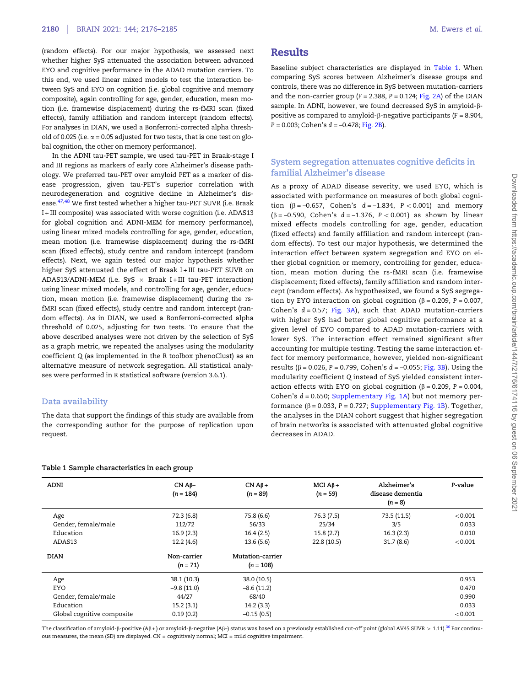<span id="page-4-0"></span>(random effects). For our major hypothesis, we assessed next whether higher SyS attenuated the association between advanced EYO and cognitive performance in the ADAD mutation carriers. To this end, we used linear mixed models to test the interaction between SyS and EYO on cognition (i.e. global cognitive and memory composite), again controlling for age, gender, education, mean motion (i.e. framewise displacement) during the rs-fMRI scan (fixed effects), family affiliation and random intercept (random effects). For analyses in DIAN, we used a Bonferroni-corrected alpha threshold of 0.025 (i.e.  $\alpha$  = 0.05 adjusted for two tests, that is one test on global cognition, the other on memory performance).

In the ADNI tau-PET sample, we used tau-PET in Braak-stage I and III regions as markers of early core Alzheimer's disease pathology. We preferred tau-PET over amyloid PET as a marker of disease progression, given tau-PET's superior correlation with neurodegeneration and cognitive decline in Alzheimer's dis-ease.<sup>[47,48](#page-9-0)</sup> We first tested whether a higher tau-PET SUVR (i.e. Braak I + III composite) was associated with worse cognition (i.e. ADAS13 for global cognition and ADNI-MEM for memory performance), using linear mixed models controlling for age, gender, education, mean motion (i.e. framewise displacement) during the rs-fMRI scan (fixed effects), study centre and random intercept (random effects). Next, we again tested our major hypothesis whether higher SyS attenuated the effect of Braak I + III tau-PET SUVR on ADAS13/ADNI-MEM (i.e. SyS  $\times$  Braak I+III tau-PET interaction) using linear mixed models, and controlling for age, gender, education, mean motion (i.e. framewise displacement) during the rsfMRI scan (fixed effects), study centre and random intercept (random effects). As in DIAN, we used a Bonferroni-corrected alpha threshold of 0.025, adjusting for two tests. To ensure that the above described analyses were not driven by the selection of SyS as a graph metric, we repeated the analyses using the modularity coefficient Q (as implemented in the R toolbox phenoClust) as an alternative measure of network segregation. All statistical analyses were performed in R statistical software (version 3.6.1).

#### Data availability

The data that support the findings of this study are available from the corresponding author for the purpose of replication upon request.

#### Table 1 Sample characteristics in each group

Baseline subject characteristics are displayed in Table 1. When comparing SyS scores between Alzheimer's disease groups and controls, there was no difference in SyS between mutation-carriers and the non-carrier group ( $F = 2.388$ ,  $P = 0.124$ ; [Fig. 2A\)](#page-5-0) of the DIAN sample. In ADNI, however, we found decreased SyS in amyloid- $\beta$ positive as compared to amyloid- $\beta$ -negative participants (F = 8.904,  $P = 0.003$ ; Cohen's  $d = -0.478$ ; [Fig. 2B](#page-5-0)).

### System segregation attenuates cognitive deficits in familial Alzheimer's disease

As a proxy of ADAD disease severity, we used EYO, which is associated with performance on measures of both global cognition ( $\beta = -0.657$ , Cohen's  $d = -1.834$ ,  $P < 0.001$ ) and memory  $(\beta = -0.590, \text{ Cohen's } d = -1.376, P < 0.001)$  as shown by linear mixed effects models controlling for age, gender, education (fixed effects) and family affiliation and random intercept (random effects). To test our major hypothesis, we determined the interaction effect between system segregation and EYO on either global cognition or memory, controlling for gender, education, mean motion during the rs-fMRI scan (i.e. framewise displacement; fixed effects), family affiliation and random intercept (random effects). As hypothesized, we found a SyS segregation by EYO interaction on global cognition ( $\beta$  = 0.209, P = 0.007, Cohen's  $d = 0.57$ ; [Fig. 3A](#page-6-0)), such that ADAD mutation-carriers with higher SyS had better global cognitive performance at a given level of EYO compared to ADAD mutation-carriers with lower SyS. The interaction effect remained significant after accounting for multiple testing. Testing the same interaction effect for memory performance, however, yielded non-significant results ( $β = 0.026$ ,  $P = 0.799$ , Cohen's  $d = -0.055$ ; [Fig. 3B\)](#page-6-0). Using the modularity coefficient Q instead of SyS yielded consistent interaction effects with EYO on global cognition ( $\beta$  = 0.209, P = 0.004, Cohen's  $d = 0.650$ ; [Supplementary Fig. 1A\)](https://academic.oup.com/brain/article-lookup/doi/10.1093/brain/awab112#supplementary-data) but not memory performance ( $\beta$  = 0.033, P = 0.727; [Supplementary Fig. 1B\)](https://academic.oup.com/brain/article-lookup/doi/10.1093/brain/awab112#supplementary-data). Together, the analyses in the DIAN cohort suggest that higher segregation of brain networks is associated with attenuated global cognitive decreases in ADAD.

| ADNI                       | $CN$ $A\beta-$<br>$(n = 184)$ | $CN AB+$<br>$(n = 89)$ | $MCI$ A $\beta$ +<br>$(n = 59)$ | Alzheimer's<br>disease dementia<br>$(n = 8)$ | P-value |
|----------------------------|-------------------------------|------------------------|---------------------------------|----------------------------------------------|---------|
| Age                        | 72.3 (6.8)                    | 75.8 (6.6)             | 76.3(7.5)                       | 73.5 (11.5)                                  | < 0.001 |
| Gender, female/male        | 112/72                        | 56/33                  | 25/34                           | 3/5                                          | 0.033   |
| Education                  | 16.9(2.3)                     | 16.4(2.5)              | 15.8(2.7)                       | 16.3(2.3)                                    | 0.010   |
| ADAS13                     | 12.2(4.6)                     | 13.6(5.6)              | 22.8 (10.5)                     | 31.7(8.6)                                    | < 0.001 |
| <b>DIAN</b>                | Non-carrier                   | Mutation-carrier       |                                 |                                              |         |
|                            | $(n = 71)$                    | $(n = 108)$            |                                 |                                              |         |
| Age                        | 38.1 (10.3)                   | 38.0 (10.5)            |                                 |                                              | 0.953   |
| <b>EYO</b>                 | $-9.8(11.0)$                  | $-8.6(11.2)$           |                                 |                                              | 0.470   |
| Gender, female/male        | 44/27                         | 68/40                  |                                 |                                              | 0.990   |
| Education                  | 15.2(3.1)                     | 14.2(3.3)              |                                 |                                              | 0.033   |
| Global cognitive composite | 0.19(0.2)                     | $-0.15(0.5)$           |                                 |                                              | < 0.001 |

The classification of amyloid- $\beta$ -positive (A $\beta$ +) or amyloid- $\beta$ -negative (A $\beta$ -) status was based on a previously established cut-off point (global AV45 SUVR > 1.11).<sup>36</sup> For continuous measures, the mean (SD) are displayed. CN = cognitively normal; MCI = mild cognitive impairment.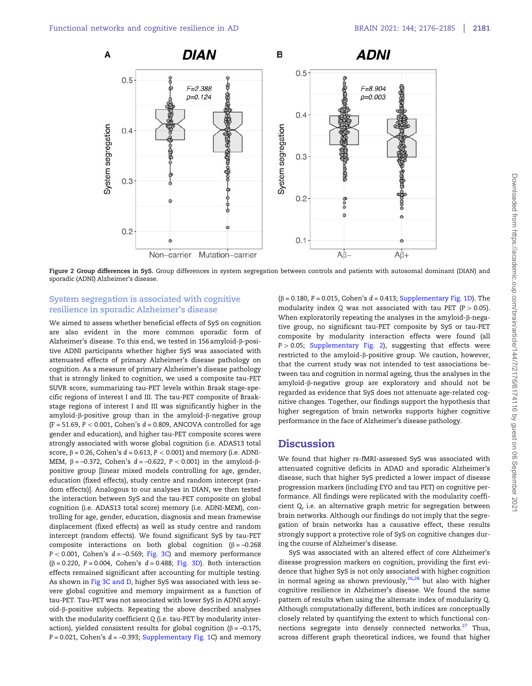<span id="page-5-0"></span>

Figure 2 Group differences in SyS. Group differences in system segregation between controls and patients with autosomal dominant (DIAN) and sporadic (ADNI) Alzheimer's disease.

## System segregation is associated with cognitive resilience in sporadic Alzheimer's disease

We aimed to assess whether beneficial effects of SyS on cognition are also evident in the more common sporadic form of Alzheimer's disease. To this end, we tested in  $156$  amyloid- $\beta$ -positive ADNI participants whether higher SyS was associated with attenuated effects of primary Alzheimer's disease pathology on cognition. As a measure of primary Alzheimer's disease pathology that is strongly linked to cognition, we used a composite tau-PET SUVR score, summarizing tau-PET levels within Braak stage-specific regions of interest I and III. The tau-PET composite of Braakstage regions of interest I and III was significantly higher in the amyloid- $\beta$ -positive group than in the amyloid- $\beta$ -negative group (F = 51.69, P < 0.001, Cohen's  $d$  = 0.809, ANCOVA controlled for age gender and education), and higher tau-PET composite scores were strongly associated with worse global cognition (i.e. ADAS13 total score,  $\beta$  = 0.26, Cohen's  $d$  = 0.613, P < 0.001) and memory (i.e. ADNI-MEM,  $\beta = -0.372$ , Cohen's  $d = -0.622$ ,  $P < 0.001$ ) in the amyloid- $\beta$ positive group [linear mixed models controlling for age, gender, education (fixed effects), study centre and random intercept (random effects)]. Analogous to our analyses in DIAN, we then tested the interaction between SyS and the tau-PET composite on global cognition (i.e. ADAS13 total score) memory (i.e. ADNI-MEM), controlling for age, gender, education, diagnosis and mean framewise displacement (fixed effects) as well as study centre and random intercept (random effects). We found significant SyS by tau-PET composite interactions on both global cognition ( $\beta = -0.268$ )  $P < 0.001$ , Cohen's  $d = -0.569$ ; [Fig. 3C\)](#page-6-0) and memory performance ( $\beta$  = 0.220, P = 0.004, Cohen's d = 0.488; [Fig. 3D\)](#page-6-0). Both interaction effects remained significant after accounting for multiple testing. As shown in [Fig 3C and D](#page-6-0), higher SyS was associated with less severe global cognitive and memory impairment as a function of tau-PET. Tau-PET was not associated with lower SyS in ADNI amyl $oid$ - $\beta$ -positive subjects. Repeating the above described analyses with the modularity coefficient Q (i.e. tau-PET by modularity interaction), yielded consistent results for global cognition ( $\beta$  = -0.175,  $P = 0.021$ , Cohen's  $d = -0.393$ ; [Supplementary Fig. 1C](https://academic.oup.com/brain/article-lookup/doi/10.1093/brain/awab112#supplementary-data)) and memory  $(\beta = 0.180, P = 0.015, Cohen's d = 0.413; Supplementary Fig. 1D). The$  $(\beta = 0.180, P = 0.015, Cohen's d = 0.413; Supplementary Fig. 1D). The$  $(\beta = 0.180, P = 0.015, Cohen's d = 0.413; Supplementary Fig. 1D). The$ modularity index Q was not associated with tau PET ( $P > 0.05$ ). When exploratorily repeating the analyses in the amyloid- $\beta$ -negative group, no significant tau-PET composite by SyS or tau-PET composite by modularity interaction effects were found (all  $P > 0.05$ ; [Supplementary Fig. 2](https://academic.oup.com/brain/article-lookup/doi/10.1093/brain/awab112#supplementary-data)), suggesting that effects were restricted to the amyloid- $\beta$ -positive group. We caution, however, that the current study was not intended to test associations between tau and cognition in normal ageing, thus the analyses in the amyloid- $\beta$ -negative group are exploratory and should not be regarded as evidence that SyS does not attenuate age-related cognitive changes. Together, our findings support the hypothesis that higher segregation of brain networks supports higher cognitive performance in the face of Alzheimer's disease pathology.

## **Discussion**

We found that higher rs-fMRI-assessed SyS was associated with attenuated cognitive deficits in ADAD and sporadic Alzheimer's disease, such that higher SyS predicted a lower impact of disease progression markers (including EYO and tau PET) on cognitive performance. All findings were replicated with the modularity coefficient Q, i.e. an alternative graph metric for segregation between brain networks. Although our findings do not imply that the segregation of brain networks has a causative effect, these results strongly support a protective role of SyS on cognitive changes during the course of Alzheimer's disease.

SyS was associated with an altered effect of core Alzheimer's disease progression markers on cognition, providing the first evidence that higher SyS is not only associated with higher cognition in normal ageing as shown previously,  $26,28$  $26,28$  $26,28$  but also with higher cognitive resilience in Alzheimer's disease. We found the same pattern of results when using the alternate index of modularity Q. Although computationally different, both indices are conceptually closely related by quantifying the extent to which functional con-nections segregate into densely connected networks.<sup>[27](#page-8-0)</sup> Thus, across different graph theoretical indices, we found that higher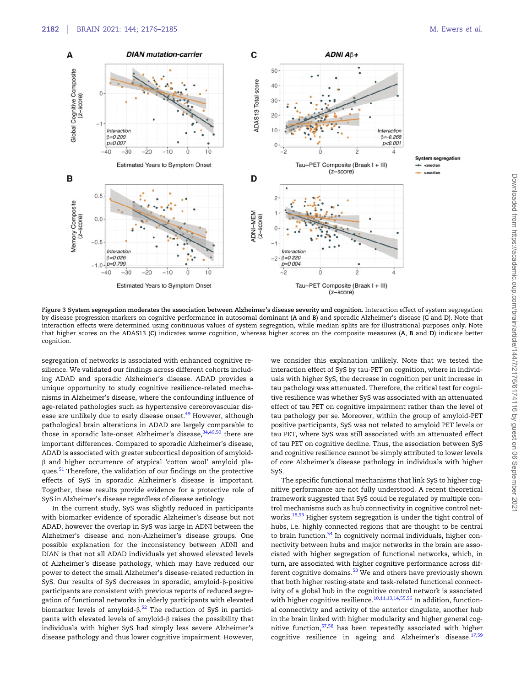<span id="page-6-0"></span>

Figure 3 System segregation moderates the association between Alzheimer's disease severity and cognition. Interaction effect of system segregation by disease progression markers on cognitive performance in autosomal dominant (A and B) and sporadic Alzheimer's disease (C and D). Note that interaction effects were determined using continuous values of system segregation, while median splits are for illustrational purposes only. Note that higher scores on the ADAS13 (C) indicates worse cognition, whereas higher scores on the composite measures (A, B and D) indicate better cognition.

segregation of networks is associated with enhanced cognitive resilience. We validated our findings across different cohorts including ADAD and sporadic Alzheimer's disease. ADAD provides a unique opportunity to study cognitive resilience-related mechanisms in Alzheimer's disease, where the confounding influence of age-related pathologies such as hypertensive cerebrovascular dis-ease are unlikely due to early disease onset.<sup>[49](#page-9-0)</sup> However, although pathological brain alterations in ADAD are largely comparable to those in sporadic late-onset Alzheimer's disease,  $34,49,50$  $34,49,50$  $34,49,50$  $34,49,50$  $34,49,50$  there are important differences. Compared to sporadic Alzheimer's disease, ADAD is associated with greater subcortical deposition of amyloidb and higher occurrence of atypical 'cotton wool' amyloid pla-ques.<sup>[51](#page-9-0)</sup> Therefore, the validation of our findings on the protective effects of SyS in sporadic Alzheimer's disease is important. Together, these results provide evidence for a protective role of SyS in Alzheimer's disease regardless of disease aetiology.

In the current study, SyS was slightly reduced in participants with biomarker evidence of sporadic Alzheimer's disease but not ADAD, however the overlap in SyS was large in ADNI between the Alzheimer's disease and non-Alzheimer's disease groups. One possible explanation for the inconsistency between ADNI and DIAN is that not all ADAD individuals yet showed elevated levels of Alzheimer's disease pathology, which may have reduced our power to detect the small Alzheimer's disease-related reduction in SyS. Our results of SyS decreases in sporadic, amyloid- $\beta$ -positive participants are consistent with previous reports of reduced segregation of functional networks in elderly participants with elevated biomarker levels of amyloid- $\beta$ . $^{52}$  $^{52}$  $^{52}$  The reduction of SyS in participants with elevated levels of amyloid- $\beta$  raises the possibility that individuals with higher SyS had simply less severe Alzheimer's disease pathology and thus lower cognitive impairment. However, we consider this explanation unlikely. Note that we tested the interaction effect of SyS by tau-PET on cognition, where in individuals with higher SyS, the decrease in cognition per unit increase in tau pathology was attenuated. Therefore, the critical test for cognitive resilience was whether SyS was associated with an attenuated effect of tau PET on cognitive impairment rather than the level of tau pathology per se. Moreover, within the group of amyloid-PET positive participants, SyS was not related to amyloid PET levels or tau PET, where SyS was still associated with an attenuated effect of tau PET on cognitive decline. Thus, the association between SyS and cognitive resilience cannot be simply attributed to lower levels of core Alzheimer's disease pathology in individuals with higher SyS.

The specific functional mechanisms that link SyS to higher cognitive performance are not fully understood. A recent theoretical framework suggested that SyS could be regulated by multiple control mechanisms such as hub connectivity in cognitive control net-works.<sup>[18](#page-8-0)[,53](#page-9-0)</sup> Higher system segregation is under the tight control of hubs, i.e. highly connected regions that are thought to be central to brain function.<sup>[54](#page-9-0)</sup> In cognitively normal individuals, higher connectivity between hubs and major networks in the brain are associated with higher segregation of functional networks, which, in turn, are associated with higher cognitive performance across dif-ferent cognitive domains.<sup>[53](#page-9-0)</sup> We and others have previously shown that both higher resting-state and task-related functional connectivity of a global hub in the cognitive control network is associated with higher cognitive resilience.<sup>[10](#page-8-0),[11,13,14](#page-8-0),[55](#page-9-0),[56](#page-9-0)</sup> In addition, functional connectivity and activity of the anterior cingulate, another hub in the brain linked with higher modularity and higher general cognitive function, $57,58$  $57,58$  $57,58$  has been repeatedly associated with higher cognitive resilience in ageing and Alzheimer's disease.[17](#page-8-0),[59](#page-9-0)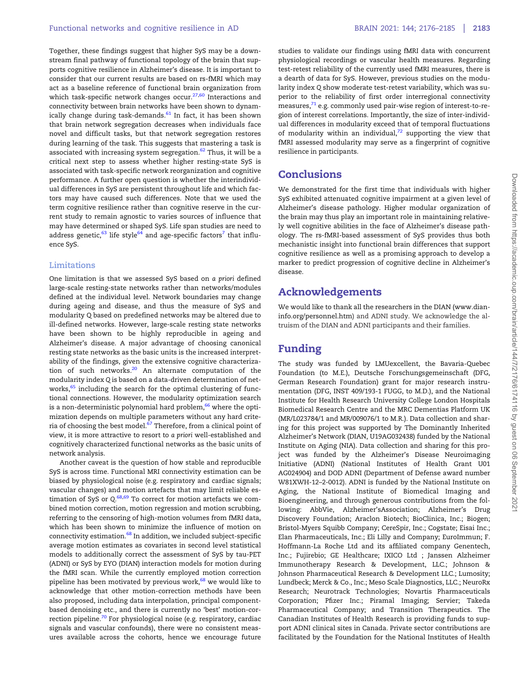<span id="page-7-0"></span>Together, these findings suggest that higher SyS may be a downstream final pathway of functional topology of the brain that supports cognitive resilience in Alzheimer's disease. It is important to consider that our current results are based on rs-fMRI which may act as a baseline reference of functional brain organization from which task-specific network changes occur.<sup>[27](#page-8-0)[,60](#page-9-0)</sup> Interactions and connectivity between brain networks have been shown to dynamically change during task-demands. $61$  In fact, it has been shown that brain network segregation decreases when individuals face novel and difficult tasks, but that network segregation restores during learning of the task. This suggests that mastering a task is associated with increasing system segregation.<sup>[62](#page-9-0)</sup> Thus, it will be a critical next step to assess whether higher resting-state SyS is associated with task-specific network reorganization and cognitive performance. A further open question is whether the interindividual differences in SyS are persistent throughout life and which factors may have caused such differences. Note that we used the term cognitive resilience rather than cognitive reserve in the current study to remain agnostic to varies sources of influence that may have determined or shaped SyS. Life span studies are need to address genetic,<sup>[63](#page-9-0)</sup> life style<sup>64</sup> and age-specific factors<sup>[7](#page-8-0)</sup> that influence SyS.

### Limitations

One limitation is that we assessed SyS based on a priori defined large-scale resting-state networks rather than networks/modules defined at the individual level. Network boundaries may change during ageing and disease, and thus the measure of SyS and modularity Q based on predefined networks may be altered due to ill-defined networks. However, large-scale resting state networks have been shown to be highly reproducible in ageing and Alzheimer's disease. A major advantage of choosing canonical resting state networks as the basic units is the increased interpretability of the findings, given the extensive cognitive characterization of such networks. $20$  An alternate computation of the modularity index Q is based on a data-driven determination of networks, $65$  including the search for the optimal clustering of functional connections. However, the modularity optimization search is a non-deterministic polynomial hard problem, $66$  where the optimization depends on multiple parameters without any hard crite-ria of choosing the best model.<sup>[67](#page-9-0)</sup> Therefore, from a clinical point of view, it is more attractive to resort to a priori well-established and cognitively characterized functional networks as the basic units of network analysis.

Another caveat is the question of how stable and reproducible SyS is across time. Functional MRI connectivity estimation can be biased by physiological noise (e.g. respiratory and cardiac signals; vascular changes) and motion artefacts that may limit reliable estimation of SyS or  $Q$ .<sup>[68,69](#page-9-0)</sup> To correct for motion artefacts we combined motion correction, motion regression and motion scrubbing, referring to the censoring of high-motion volumes from fMRI data, which has been shown to minimize the influence of motion on connectivity estimation.<sup>[68](#page-9-0)</sup> In addition, we included subject-specific average motion estimates as covariates in second level statistical models to additionally correct the assessment of SyS by tau-PET (ADNI) or SyS by EYO (DIAN) interaction models for motion during the fMRI scan. While the currently employed motion correction pipeline has been motivated by previous work, $68$  we would like to acknowledge that other motion-correction methods have been also proposed, including data interpolation, principal componentbased denoising etc., and there is currently no 'best' motion-cor-rection pipeline.<sup>[70](#page-9-0)</sup> For physiological noise (e.g. respiratory, cardiac signals and vascular confounds), there were no consistent measures available across the cohorts, hence we encourage future studies to validate our findings using fMRI data with concurrent physiological recordings or vascular health measures. Regarding test-retest reliability of the currently used fMRI measures, there is a dearth of data for SyS. However, previous studies on the modularity index Q show moderate test-retest variability, which was superior to the reliability of first order interregional connectivity measures, $71$  e.g. commonly used pair-wise region of interest-to-region of interest correlations. Importantly, the size of inter-individual differences in modularity exceed that of temporal fluctuations of modularity within an individual, $72$  supporting the view that fMRI assessed modularity may serve as a fingerprint of cognitive resilience in participants.

## **Conclusions**

We demonstrated for the first time that individuals with higher SyS exhibited attenuated cognitive impairment at a given level of Alzheimer's disease pathology. Higher modular organization of the brain may thus play an important role in maintaining relatively well cognitive abilities in the face of Alzheimer's disease pathology. The rs-fMRI-based assessment of SyS provides thus both mechanistic insight into functional brain differences that support cognitive resilience as well as a promising approach to develop a marker to predict progression of cognitive decline in Alzheimer's disease.

## Acknowledgements

We would like to thank all the researchers in the DIAN ([www.dian](http://www.dian-info.org/personnel.htm)[info.org/personnel.htm\)](http://www.dian-info.org/personnel.htm) and ADNI study. We acknowledge the altruism of the DIAN and ADNI participants and their families.

# Funding

The study was funded by LMUexcellent, the Bavaria-Quebec Foundation (to M.E.), Deutsche Forschungsgemeinschaft (DFG, German Research Foundation) grant for major research instrumentation (DFG, INST 409/193-1 FUGG, to M.D.), and the National Institute for Health Research University College London Hospitals Biomedical Research Centre and the MRC Dementias Platform UK (MR/L023784/1 and MR/009076/1 to M.R.). Data collection and sharing for this project was supported by The Dominantly Inherited Alzheimer's Network (DIAN, U19AG032438) funded by the National Institute on Aging (NIA). Data collection and sharing for this project was funded by the Alzheimer's Disease Neuroimaging Initiative (ADNI) (National Institutes of Health Grant U01 AG024904) and DOD ADNI (Department of Defense award number W81XWH-12–2-0012). ADNI is funded by the National Institute on Aging, the National Institute of Biomedical Imaging and Bioengineering, and through generous contributions from the following: AbbVie, Alzheimer'sAssociation; Alzheimer's Drug Discovery Foundation; Araclon Biotech; BioClinica, Inc.; Biogen; Bristol-Myers Squibb Company; CereSpir, Inc.; Cogstate; Eisai Inc.; Elan Pharmaceuticals, Inc.; Eli Lilly and Company; EuroImmun; F. Hoffmann-La Roche Ltd and its affiliated company Genentech, Inc.; Fujirebio; GE Healthcare; IXICO Ltd ; Janssen Alzheimer Immunotherapy Research & Development, LLC.; Johnson & Johnson Pharmaceutical Research & Development LLC.; Lumosity; Lundbeck; Merck & Co., Inc.; Meso Scale Diagnostics, LLC.; NeuroRx Research; Neurotrack Technologies; Novartis Pharmaceuticals Corporation; Pfizer Inc.; Piramal Imaging; Servier; Takeda Pharmaceutical Company; and Transition Therapeutics. The Canadian Institutes of Health Research is providing funds to support ADNI clinical sites in Canada. Private sector contributions are facilitated by the Foundation for the National Institutes of Health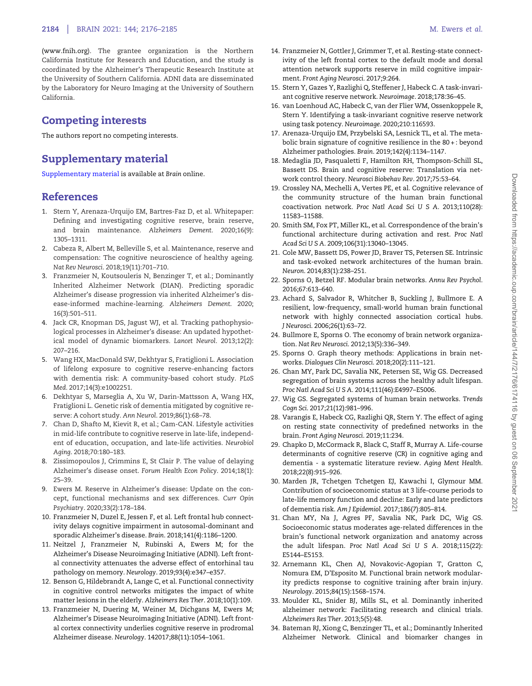<span id="page-8-0"></span>([www.fnih.org\)](http://www.fnih.org). The grantee organization is the Northern California Institute for Research and Education, and the study is coordinated by the Alzheimer's Therapeutic Research Institute at the University of Southern California. ADNI data are disseminated by the Laboratory for Neuro Imaging at the University of Southern California.

# Competing interests

The authors report no competing interests.

# Supplementary material

[Supplementary material](https://academic.oup.com/brain/article-lookup/doi/10.1093/brain/awab112#supplementary-data) is available at Brain online.

# References

- [1](#page-1-0). Stern Y, Arenaza-Urquijo EM, Bartres-Faz D, et al. Whitepaper: Defining and investigating cognitive reserve, brain reserve, and brain maintenance. Alzheimers Dement. 2020;16(9): 1305–1311.
- [2](#page-1-0). Cabeza R, Albert M, Belleville S, et al. Maintenance, reserve and compensation: The cognitive neuroscience of healthy ageing. Nat Rev Neurosci. 2018;19(11):701–710.
- [3](#page-1-0). Franzmeier N, Koutsouleris N, Benzinger T, et al.; Dominantly Inherited Alzheimer Network (DIAN). Predicting sporadic Alzheimer's disease progression via inherited Alzheimer's disease-informed machine-learning. Alzheimers Dement. 2020; 16(3):501–511.
- [4](#page-1-0). Jack CR, Knopman DS, Jagust WJ, et al. Tracking pathophysiological processes in Alzheimer's disease: An updated hypothetical model of dynamic biomarkers. Lancet Neurol. 2013;12(2): 207–216.
- 5. Wang HX, MacDonald SW, Dekhtyar S, Fratiglioni L. Association of lifelong exposure to cognitive reserve-enhancing factors with dementia risk: A community-based cohort study. PLoS Med. 2017;14(3):e1002251.
- 6. Dekhtyar S, Marseglia A, Xu W, Darin-Mattsson A, Wang HX, Fratiglioni L. Genetic risk of dementia mitigated by cognitive reserve: A cohort study. Ann Neurol. 2019;86(1):68–78.
- [7](#page-7-0). Chan D, Shafto M, Kievit R, et al.; Cam-CAN. Lifestyle activities in mid-life contribute to cognitive reserve in late-life, independent of education, occupation, and late-life activities. Neurobiol Aging. 2018;70:180–183.
- [8](#page-2-0). Zissimopoulos J, Crimmins E, St Clair P. The value of delaying Alzheimer's disease onset. Forum Health Econ Policy. 2014;18(1): 25–39.
- [9](#page-2-0). Ewers M. Reserve in Alzheimer's disease: Update on the concept, functional mechanisms and sex differences. Curr Opin Psychiatry. 2020;33(2):178–184.
- [10](#page-2-0). Franzmeier N, Duzel E, Jessen F, et al. Left frontal hub connectivity delays cognitive impairment in autosomal-dominant and sporadic Alzheimer's disease. Brain. 2018;141(4):1186–1200.
- [11](#page-6-0). Neitzel J, Franzmeier N, Rubinski A, Ewers M; for the Alzheimer's Disease Neuroimaging Initiative (ADNI). Left frontal connectivity attenuates the adverse effect of entorhinal tau pathology on memory. Neurology. 2019;93(4):e347–e357.
- 12. Benson G, Hildebrandt A, Lange C, et al. Functional connectivity in cognitive control networks mitigates the impact of white matter lesions in the elderly. Alzheimers Res Ther. 2018;10(1):109.
- [13](#page-3-0). Franzmeier N, Duering M, Weiner M, Dichgans M, Ewers M; Alzheimer's Disease Neuroimaging Initiative (ADNI). Left frontal cortex connectivity underlies cognitive reserve in prodromal Alzheimer disease. Neurology. 142017;88(11):1054–1061.
- [14](#page-3-0). Franzmeier N, Gottler J, Grimmer T, et al. Resting-state connectivity of the left frontal cortex to the default mode and dorsal attention network supports reserve in mild cognitive impairment. Front Aging Neurosci. 2017;9:264.
- 15. Stern Y, Gazes Y, Razlighi Q, Steffener J, Habeck C. A task-invariant cognitive reserve network. Neuroimage. 2018;178:36–45.
- 16. van Loenhoud AC, Habeck C, van der Flier WM, Ossenkoppele R, Stern Y. Identifying a task-invariant cognitive reserve network using task potency. Neuroimage. 2020;210:116593.
- [17](#page-6-0). Arenaza-Urquijo EM, Przybelski SA, Lesnick TL, et al. The metabolic brain signature of cognitive resilience in the 80 + : beyond Alzheimer pathologies. Brain. 2019;142(4):1134–1147.
- [18](#page-2-0). Medaglia JD, Pasqualetti F, Hamilton RH, Thompson-Schill SL, Bassett DS. Brain and cognitive reserve: Translation via network control theory. Neurosci Biobehav Rev. 2017;75:53–64.
- [19](#page-2-0). Crossley NA, Mechelli A, Vertes PE, et al. Cognitive relevance of the community structure of the human brain functional coactivation network. Proc Natl Acad Sci U S A. 2013;110(28): 11583–11588.
- [20](#page-2-0). Smith SM, Fox PT, Miller KL, et al. Correspondence of the brain's functional architecture during activation and rest. Proc Natl Acad Sci U S A. 2009;106(31):13040–13045.
- [21](#page-2-0). Cole MW, Bassett DS, Power JD, Braver TS, Petersen SE. Intrinsic and task-evoked network architectures of the human brain. Neuron. 2014;83(1):238–251.
- [22](#page-2-0). Sporns O, Betzel RF. Modular brain networks. Annu Rev Psychol. 2016;67:613–640.
- 23. Achard S, Salvador R, Whitcher B, Suckling J, Bullmore E. A resilient, low-frequency, small-world human brain functional network with highly connected association cortical hubs. J Neurosci. 2006;26(1):63–72.
- 24. Bullmore E, Sporns O. The economy of brain network organization. Nat Rev Neurosci. 2012;13(5):336–349.
- [25](#page-2-0). Sporns O. Graph theory methods: Applications in brain networks. Dialogues Clin Neurosci. 2018;20(2):111–121.
- [26](#page-2-0). Chan MY, Park DC, Savalia NK, Petersen SE, Wig GS. Decreased segregation of brain systems across the healthy adult lifespan. Proc Natl Acad Sci U S A. 2014;111(46):E4997–E5006.
- [27](#page-2-0). Wig GS. Segregated systems of human brain networks. Trends Cogn Sci. 2017;21(12):981–996.
- [28](#page-2-0). Varangis E, Habeck CG, Razlighi QR, Stern Y. The effect of aging on resting state connectivity of predefined networks in the brain. Front Aging Neurosci. 2019;11:234.
- [29](#page-2-0). Chapko D, McCormack R, Black C, Staff R, Murray A. Life-course determinants of cognitive reserve (CR) in cognitive aging and dementia - a systematic literature review. Aging Ment Health. 2018;22(8):915–926.
- [30](#page-2-0). Marden JR, Tchetgen Tchetgen EJ, Kawachi I, Glymour MM. Contribution of socioeconomic status at 3 life-course periods to late-life memory function and decline: Early and late predictors of dementia risk. Am J Epidemiol. 2017;186(7):805–814.
- [31](#page-2-0). Chan MY, Na J, Agres PF, Savalia NK, Park DC, Wig GS. Socioeconomic status moderates age-related differences in the brain's functional network organization and anatomy across the adult lifespan. Proc Natl Acad Sci U S A. 2018;115(22): E5144–E5153.
- [32](#page-2-0). Arnemann KL, Chen AJ, Novakovic-Agopian T, Gratton C, Nomura EM, D'Esposito M. Functional brain network modularity predicts response to cognitive training after brain injury. Neurology. 2015;84(15):1568–1574.
- [33](#page-2-0). Moulder KL, Snider BJ, Mills SL, et al. Dominantly inherited alzheimer network: Facilitating research and clinical trials. Alzheimers Res Ther. 2013;5(5):48.
- [34](#page-2-0). Bateman RJ, Xiong C, Benzinger TL, et al.; Dominantly Inherited Alzheimer Network. Clinical and biomarker changes in